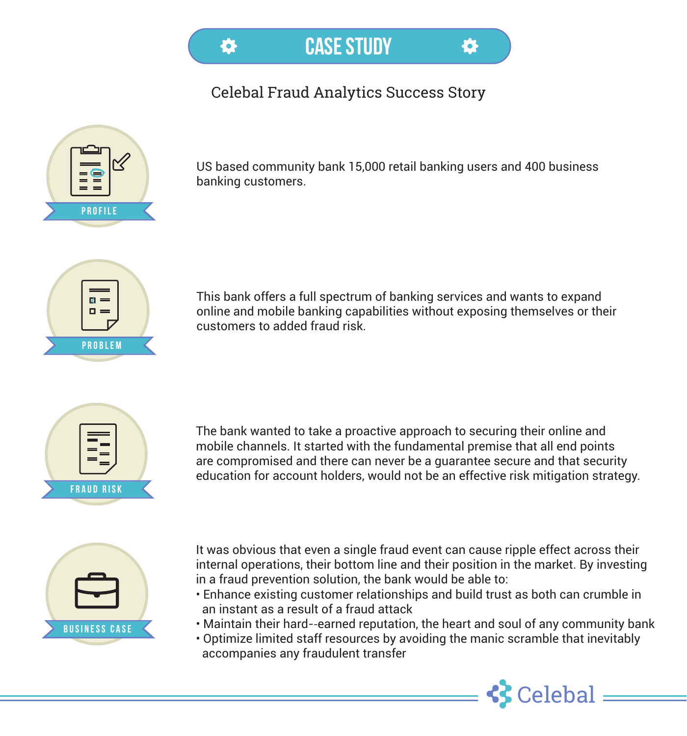CASE STUDY

位

## Celebal Fraud Analytics Success Story



US based community bank 15,000 retail banking users and 400 business banking customers.

5



This bank offers a full spectrum of banking services and wants to expand online and mobile banking capabilities without exposing themselves or their customers to added fraud risk.



The bank wanted to take a proactive approach to securing their online and mobile channels. It started with the fundamental premise that all end points are compromised and there can never be a guarantee secure and that security education for account holders, would not be an effective risk mitigation strategy.



It was obvious that even a single fraud event can cause ripple effect across their internal operations, their bottom line and their position in the market. By investing in a fraud prevention solution, the bank would be able to:

- Enhance existing customer relationships and build trust as both can crumble in an instant as a result of a fraud attack
- Maintain their hard-‐earned reputation, the heart and soul of any community bank
- Optimize limited staff resources by avoiding the manic scramble that inevitably accompanies any fraudulent transfer